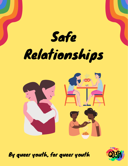Safe Relationships



By queer youth, for queer youth

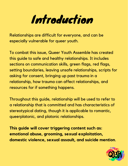# Introduction

Relationships are difficult for everyone, and can be especially vulnerable for queer youth.

To combat this issue, Queer Youth Assemble has created this guide to safe and healthy relationships. It includes sections on communication skills, green flags, red flags, setting boundaries, leaving unsafe relationships, scripts for asking for consent, bringing up past trauma in a relationship, how trauma can affect relationships, and resources for if something happens.

Throughout this guide, relationship will be used to refer to a relationship that is committed and has characteristics of stereotypical dating, though it is applicable to romantic, queerplatonic, and platonic relationships.

**This guide will cover triggering content such as: emotional abuse, grooming, sexual exploitation, domestic violence, sexual assault, and suicide mention**.

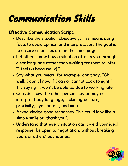### Communication Skills

#### **Effective Communication Script:**

- Describe the situation objectively. This means using facts to avoid opinion and interpretation. The goal is to ensure all parties are on the same page.
- Let others know how a situation affects you through clear language rather than waiting for them to infer. "I feel (x) because (x)."
- Say what you mean- for example, don't say: "Oh, well, I don't know if I can or cannot cook tonight." Try saying: "I won't be able to, due to working late."
- Consider how the other person may or may not interpret body language, including posture, proximity, eye contact, and more.
- Acknowledge good responses. This could look like a simple smile or "thank you".
- Understand that every situation can't yield your ideal response; be open to negotiation, without breaking yours or others' boundaries.

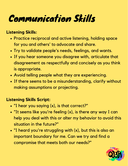### Communication Skills

#### **Listening Skills:**

- Practice reciprocal and active listening, holding space for you and others' to advocate and share.
- Try to validate people's needs, feelings, and wants.
- If you hear someone you disagree with, articulate that disagreement as respectfully and concisely as you think is appropriate.
- Avoid telling people what they are experiencing.
- If there seems to be a misunderstanding, clarify without making assumptions or projecting.

#### **Listening Skills Script:**

- "I hear you saying (x), is that correct?"
- "It seems like you're feeling (x), is there any way I can help you deal with this or alter my behavior to avoid this situation in the future?"
- "I heard you're struggling with (x), but this is also an important boundary for me. Can we try and find a compromise that meets both our needs?"

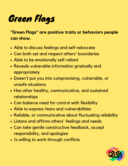### Green Flags

**"Green Flags" are positive traits or behaviors people can show.**

- Able to discuss feelings and self-advocate
- Can both set and respect others' boundaries
- Able to be emotionally self-reliant
- Reveals vulnerable information gradually and appropriately
- Doesn't put you into compromising, vulnerable, or unsafe situations
- Has other healthy, communicative, and sustained relationships
- Can balance need for control with flexibility
- Able to express fears and vulnerabilities
- Reliable, or communicative about fluctuating reliability
- Listens and affirms others' feelings and needs
- Can take gentle constructive feedback, accept responsibility, and apologize
- Is willing to work through conflicts

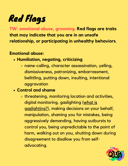**TW: emotional abuse, grooming. Red flags are traits that may indicate that you are in an unsafe relationship, or participating in unhealthy behaviors**.

#### **Emotional abuse:**

- **Humiliation, negating, criticizing**
	- name-calling, character assassination, yelling, dismissiveness, patronizing, embarrassment, belittling, putting down, insulting, intentional aggravation

#### **Control and shame**

threatening, monitoring location and activities, digital monitoring, gaslighting (what is [gaslighting?\),](https://www.vox.com/first-person/2018/12/19/18140830/gaslighting-relationships-politics-explained) making decisions on your behalf, manipulation, shaming you for mistakes, being aggressively demanding, having outbursts to control you, being unpredictable to the point of harm, walking out on you, shutting down during disagreement to disallow you from selfadvocating.

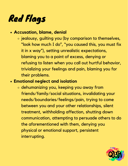#### **Accusation, blame, denial**

o jealousy, guilting you (by comparison to themselves, "look how much I do" , "you caused this, you must fix it in x way"), setting unrealistic expectations, blaming you to a point of excess, denying or refusing to listen when you call out hurtful behavior, trivializing your feelings and pain, blaming you for their problems.

#### **Emotional neglect and isolation**

dehumanizing you, keeping you away from friends/family/social situations, invalidating your needs/boundaries/feelings/pain, trying to come between you and your other relationships, silent treatment, withholding affection, shutting down communication, attempting to persuade others to do the aforementioned with them, denying you physical or emotional support, persistent interrupting.

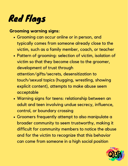#### **Grooming warning signs:**

- Grooming can occur online or in person, and typically comes from someone already close to the victim, such as a family member, coach, or teacher
- Pattern of grooming: selection of victim, isolation of victim so that they become close to the groomer, development of trust through attention/gifts/secrets, desensitization to touch/sexual topics (hugging, wrestling, showing explicit content), attempts to make abuse seem acceptable
- Warning signs for teens: relationship between an adult and teen involving undue secrecy, influence, control, or boundary crossing
- Groomers frequently attempt to also manipulate a broader community to seem trustworthy, making it difficult for community members to notice the abuse and for the victim to recognize that this behavior can come from someone in a high social position

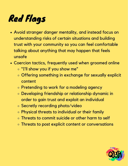- Avoid stranger danger mentality, and instead focus on understanding risks of certain situations and building trust with your community so you can feel comfortable talking about anything that may happen that feels unsafe
- Coercion tactics, frequently used when groomed online
	- "I'll show you if you show me"
	- Offering something in exchange for sexually explicit content
	- o Pretending to work for a modeling agency
	- Developing friendship or relationship dynamic in order to gain trust and exploit an individual
	- Secretly recording photo/video
	- Physical threats to individual or their family
	- Threats to commit suicide or other harm to self
	- **o Threats to post explicit content or conversations**

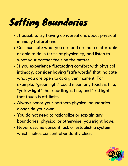## Setting Boundaries

- If possible, try having conversations about physical intimacy beforehand.
- Communicate what you are and are not comfortable or able to do in terms of physicality, and listen to what your partner feels on the matter.
- If you experience fluctuating comfort with physical intimacy, consider having "safe words" that indicate what you are open to at a given moment. For example, "green light" could mean any touch is fine, "yellow light" that cuddling is fine, and "red light" that touch is off-limits.
- Always honor your partners physical boundaries alongside your own.
- You do not need to rationalize or explain any boundaries, physical or otherwise, you might have.
- Never assume consent; ask or establish a system which makes consent abundantly clear.

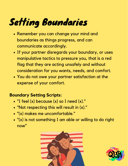### Setting Boundaries

- Remember you can change your mind and boundaries as things progress, and can communicate accordingly.
- If your partner disregards your boundary, or uses manipulative tactics to pressure you, that is a red flag that they are acting unsafely and without consideration for you wants, needs, and comfort.
- You do not owe your partner satisfaction at the expense of your comfort.

#### **Boundary Setting Scripts:**

- "I feel (x) because (x) so I need (x)."
- "Not respecting this will result in (x)."
- "(x) makes me uncomfortable."
- "(x) is not something I am able or willing to do right now"



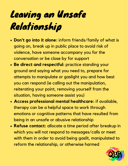# Leaving an Unsafe Relationship

- **Don't go into it alone:** inform friends/family of what is going on, break up in public place to avoid risk of violence, have someone accompany you for the conversation or be close by for support
- **Be direct and respectful:** practice standing your ground and saying what you need to, prepare for attempts to manipulate or gaslight you and how best you can respond (ie calling out the manipulation, reiterating your point, removing yourself from the situation, having someone assist you)
- **Access professional mental healthcare:** if available, therapy can be a helpful space to work through emotions or cognitive patterns that have resulted from being in an unsafe or abusive relationship
- **Refuse contact:** allocate a time period after breakup in which you will not respond to messages/calls or meet with them in order to avoid being gaslit, manipulated to reform the relationship, or otherwise harmed

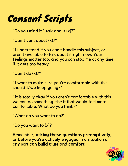### Consent Scripts

"Do you mind if I talk about (x)?"

"Can I vent about (x)?"

"I understand if you can't handle this subject, or aren't available to talk about it right now. Your feelings matter too, and you can stop me at any time if it gets too heavy."

"Can I do (x)?"

"I want to make sure you're comfortable with this, should I/we keep going?"

"It is totally okay if you aren't comfortable with thiswe can do something else if that would feel more comfortable. What do you think?"

"What do you want to do?"

"Do you want to (x)?"

Remember, **asking these questions preemptively**, or before you're actively engaged in a situation of any sort **can build trust and comfort**!

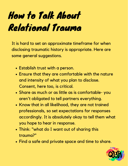# How to Talk About Relational Trauma

It is hard to set an approximate timeframe for when disclosing traumatic history is appropriate. Here are some general suggestions.

- Establish trust with a person.
- Ensure that they are comfortable with the nature and intensity of what you plan to disclose. Consent, here too, is critical.
- Share as much or as little as is comfortable- you aren't obligated to tell partners everything.
- Know that in all likelihood, they are not trained professionals, so set expectations for responses accordingly. It is absolutely okay to tell them what you hope to hear in response.
- Think: "what do I want out of sharing this trauma?"
- Find a safe and private space and time to share.

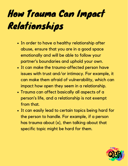# How Trauma Can Impact Relationships

- In order to have a healthy relationship after abuse, ensure that you are in a good space emotionally and will be able to follow your partner's boundaries and uphold your own.
- It can make the trauma-affected person have issues with trust and/or intimacy. For example, it can make them afraid of vulnerability, which can impact how open they seem in a relationship.
- Trauma can affect basically all aspects of a person's life, and a relationship is not exempt from that.
- It can easily lead to certain topics being hard for the person to handle. For example, if a person has trauma about (x), then talking about that specific topic might be hard for them.

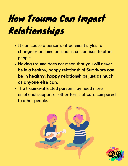# How Trauma Can Impact Relationships

- It can cause a person's attachment styles to change or become unusual in comparison to other people.
- Having trauma does not mean that you will never be in a healthy, happy relationship! **Survivors can be in healthy, happy relationships just as much as anyone else can.**
- The trauma-affected person may need more emotional support or other forms of care compared to other people.



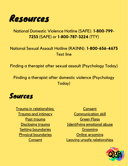

#### National Domestic Violence Hotline (SAFE): **1-800-799- 7233** (SAFE) or **1-800-787-3224** (TTY)

#### National Sexual Assault Hotline (RAINN): **1-800-656-4673** [Text](https://hotline.rainn.org/online?_ga=2.61146410.704385839.1644018825-124532627.1644018825) line

Finding a therapist after sexual assault [\(Psychology](https://www.psychologytoday.com/us/therapists/sexual-abuse) Today)

Finding a therapist after domestic violence [\(Psychology](https://www.psychologytoday.com/us/therapists/domestic-abuse) Today)



Trauma in [relationships](https://coloradorecoveryservices.org/the-impact-of-unresolved-trauma-on-relationships/) Trauma and [intimacy](https://www.goodtherapy.org/blog/when-it-all-falls-apart-traumas-impact-on-intimate-relationships-0211145) Past [trauma](https://www.huffingtonpost.co.uk/entry/when-in-a-new-relationship-should-you-bring-up-past-traumas_uk_5cf1414be4b0e8085e38f976) [Disclosing](https://lifehacker.com/how-to-tell-your-partner-about-past-trauma-1847114389) trauma Setting [boundaries](https://iembracetherapy.com/setting-boundaries/#:~:text=Physical%20boundaries%20encompass%20touch%2C%20your,your%20personal%20space%20or%20home.) Physical [boundaries](https://www.loveisrespect.org/resources/physical-boundaries/) **[Consent](https://www.plannedparenthood.org/learn/relationships/sexual-consent/how-do-i-talk-about-consent#:~:text=It)** 

[Consent](https://www.dartmouth.edu/consent/communication/howdo.html) [Communication](https://www.therapistaid.com/therapy-worksheet/dbt-dear-man) skill **[Green](https://relationship-institute.com/green-flags-good-signs-in-a-dating-partner/) Flags** [Identifying](https://www.healthline.com/health/signs-of-mental-abuse#control-and-shame) emotional abuse [Grooming](https://www.rainn.org/news/grooming-know-warning-signs) Online [grooming](https://www.missingkids.org/theissues/sextortion) Leaving unsafe [relationships](https://parenting.uwhealth.org/2017/10/safely-get-unsafe-relationship/)